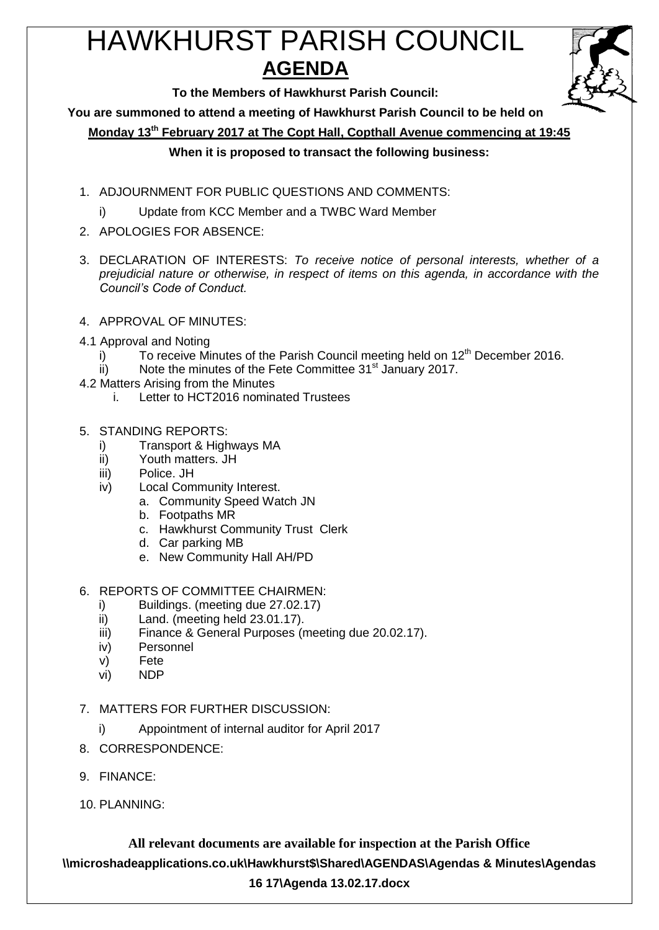# HAWKHURST PARISH COUNCIL **AGENDA**



**To the Members of Hawkhurst Parish Council:**

**You are summoned to attend a meeting of Hawkhurst Parish Council to be held on**

**Monday 13th February 2017 at The Copt Hall, Copthall Avenue commencing at 19:45**

# **When it is proposed to transact the following business:**

- 1. ADJOURNMENT FOR PUBLIC QUESTIONS AND COMMENTS:
	- i) Update from KCC Member and a TWBC Ward Member
- 2. APOLOGIES FOR ABSENCE:
- 3. DECLARATION OF INTERESTS: *To receive notice of personal interests, whether of a prejudicial nature or otherwise, in respect of items on this agenda, in accordance with the Council's Code of Conduct.*
- 4. APPROVAL OF MINUTES:
- 4.1 Approval and Noting
	- i) To receive Minutes of the Parish Council meeting held on  $12<sup>th</sup>$  December 2016.
	- ii) Note the minutes of the Fete Committee  $31<sup>st</sup>$  January 2017.
- 4.2 Matters Arising from the Minutes
	- i. Letter to HCT2016 nominated Trustees
- 5. STANDING REPORTS:
	- i) Transport & Highways MA
	- ii) Youth matters. JH
	- iii) Police. JH
	- iv) Local Community Interest.
		- a. Community Speed Watch JN
		- b. Footpaths MR
		- c. Hawkhurst Community Trust Clerk
		- d. Car parking MB
		- e. New Community Hall AH/PD
- 6. REPORTS OF COMMITTEE CHAIRMEN:
	- i) Buildings. (meeting due 27.02.17)
	- ii) Land. (meeting held 23.01.17).
	- iii) Finance & General Purposes (meeting due 20.02.17).
	- iv) Personnel
	- v) Fete
	- vi) NDP
- 7. MATTERS FOR FURTHER DISCUSSION:
	- i) Appointment of internal auditor for April 2017
- 8. CORRESPONDENCE:
- 9. FINANCE:
- 10. PLANNING:

**All relevant documents are available for inspection at the Parish Office \\microshadeapplications.co.uk\Hawkhurst\$\Shared\AGENDAS\Agendas & Minutes\Agendas 16 17\Agenda 13.02.17.docx**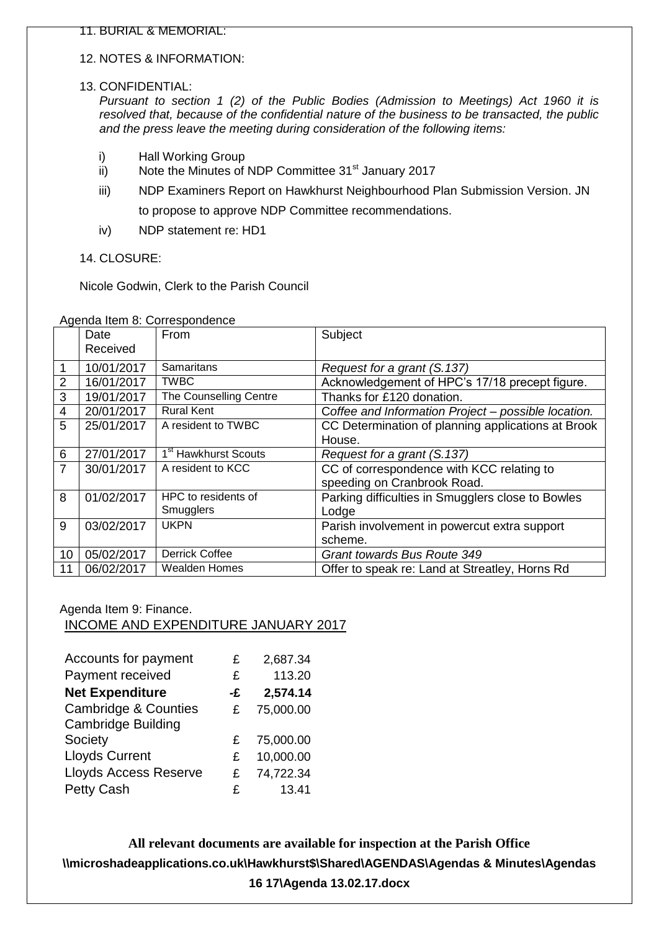#### 12. NOTES & INFORMATION:

#### 13. CONFIDENTIAL:

*Pursuant to section 1 (2) of the Public Bodies (Admission to Meetings) Act 1960 it is resolved that, because of the confidential nature of the business to be transacted, the public and the press leave the meeting during consideration of the following items:*

- i) Hall Working Group
- ii) Note the Minutes of NDP Committee 31<sup>st</sup> January 2017
- iii) NDP Examiners Report on Hawkhurst Neighbourhood Plan Submission Version. JN to propose to approve NDP Committee recommendations.
- iv) NDP statement re: HD1

14. CLOSURE:

Nicole Godwin, Clerk to the Parish Council

|                | Date<br>Received | <b>From</b>                      | Subject                                             |
|----------------|------------------|----------------------------------|-----------------------------------------------------|
|                |                  |                                  |                                                     |
|                | 10/01/2017       | <b>Samaritans</b>                | Request for a grant (S.137)                         |
| 2              | 16/01/2017       | <b>TWBC</b>                      | Acknowledgement of HPC's 17/18 precept figure.      |
| 3              | 19/01/2017       | The Counselling Centre           | Thanks for £120 donation.                           |
| 4              | 20/01/2017       | <b>Rural Kent</b>                | Coffee and Information Project - possible location. |
| 5              | 25/01/2017       | A resident to TWBC               | CC Determination of planning applications at Brook  |
|                |                  |                                  | House.                                              |
| 6              | 27/01/2017       | 1 <sup>st</sup> Hawkhurst Scouts | Request for a grant (S.137)                         |
| $\overline{7}$ | 30/01/2017       | A resident to KCC                | CC of correspondence with KCC relating to           |
|                |                  |                                  | speeding on Cranbrook Road.                         |
| 8              | 01/02/2017       | HPC to residents of              | Parking difficulties in Smugglers close to Bowles   |
|                |                  | Smugglers                        | Lodge                                               |
| 9              | 03/02/2017       | <b>UKPN</b>                      | Parish involvement in powercut extra support        |
|                |                  |                                  | scheme.                                             |
| 10             | 05/02/2017       | <b>Derrick Coffee</b>            | Grant towards Bus Route 349                         |
| 11             | 06/02/2017       | <b>Wealden Homes</b>             | Offer to speak re: Land at Streatley, Horns Rd      |

Agenda Item 8: Correspondence

Agenda Item 9: Finance.

# INCOME AND EXPENDITURE JANUARY 2017

| Accounts for payment                                         | £  | 2,687.34  |
|--------------------------------------------------------------|----|-----------|
| Payment received                                             | £  | 113.20    |
| <b>Net Expenditure</b>                                       | -£ | 2,574.14  |
| <b>Cambridge &amp; Counties</b><br><b>Cambridge Building</b> | £  | 75,000.00 |
| Society                                                      | £  | 75,000.00 |
| <b>Lloyds Current</b>                                        | £  | 10,000.00 |
| <b>Lloyds Access Reserve</b>                                 | £  | 74,722.34 |
| Petty Cash                                                   | £  | 13.41     |

**All relevant documents are available for inspection at the Parish Office \\microshadeapplications.co.uk\Hawkhurst\$\Shared\AGENDAS\Agendas & Minutes\Agendas 16 17\Agenda 13.02.17.docx**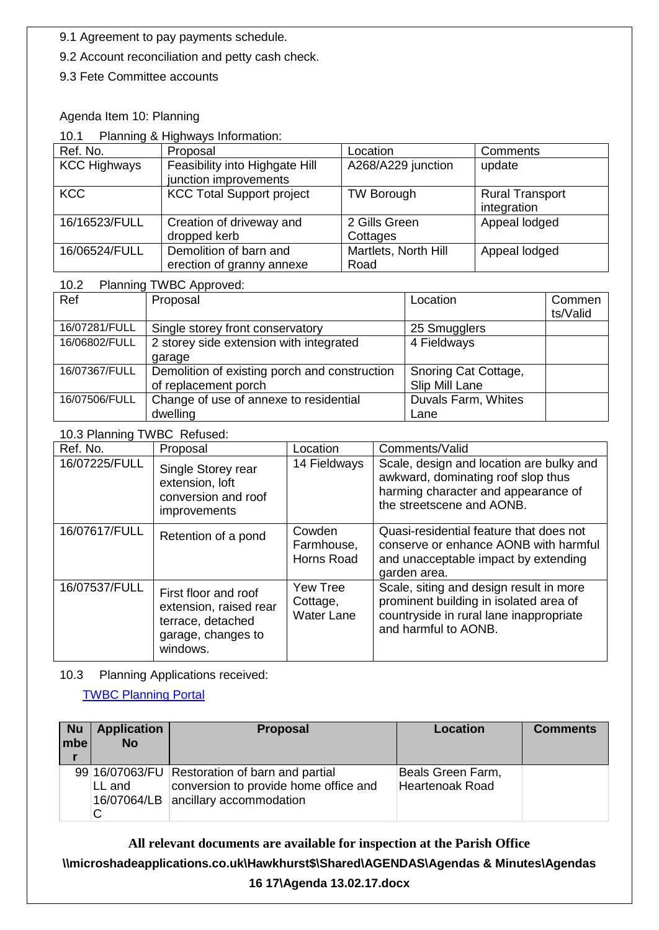9.1 Agreement to pay payments schedule.

9.2 Account reconciliation and petty cash check.

9.3 Fete Committee accounts

# Agenda Item 10: Planning

#### 10.1 Planning & Highways Information:

| Ref. No.            | Proposal                                                | Location                     | Comments                              |
|---------------------|---------------------------------------------------------|------------------------------|---------------------------------------|
| <b>KCC Highways</b> | Feasibility into Highgate Hill<br>junction improvements | A268/A229 junction           | update                                |
| <b>KCC</b>          | <b>KCC Total Support project</b>                        | <b>TW Borough</b>            | <b>Rural Transport</b><br>integration |
| 16/16523/FULL       | Creation of driveway and<br>dropped kerb                | 2 Gills Green<br>Cottages    | Appeal lodged                         |
| 16/06524/FULL       | Demolition of barn and<br>erection of granny annexe     | Martlets, North Hill<br>Road | Appeal lodged                         |

# 10.2 Planning TWBC Approved:

| Ref           | Proposal                                                              | Location                               | Commen<br>ts/Valid |
|---------------|-----------------------------------------------------------------------|----------------------------------------|--------------------|
| 16/07281/FULL | Single storey front conservatory                                      | 25 Smugglers                           |                    |
| 16/06802/FULL | 2 storey side extension with integrated<br>garage                     | 4 Fieldways                            |                    |
| 16/07367/FULL | Demolition of existing porch and construction<br>of replacement porch | Snoring Cat Cottage,<br>Slip Mill Lane |                    |
| 16/07506/FULL | Change of use of annexe to residential                                | Duvals Farm, Whites                    |                    |
|               | dwelling                                                              | Lane                                   |                    |

# 10.3 Planning TWBC Refused:

| Ref. No.      | Proposal                                                                                              | Location                                  | Comments/Valid                                                                                                                                       |
|---------------|-------------------------------------------------------------------------------------------------------|-------------------------------------------|------------------------------------------------------------------------------------------------------------------------------------------------------|
| 16/07225/FULL | Single Storey rear<br>extension, loft<br>conversion and roof<br><i>improvements</i>                   | 14 Fieldways                              | Scale, design and location are bulky and<br>awkward, dominating roof slop thus<br>harming character and appearance of<br>the streetscene and AONB.   |
| 16/07617/FULL | Retention of a pond                                                                                   | Cowden<br>Farmhouse,<br>Horns Road        | Quasi-residential feature that does not<br>conserve or enhance AONB with harmful<br>and unacceptable impact by extending<br>garden area.             |
| 16/07537/FULL | First floor and roof<br>extension, raised rear<br>terrace, detached<br>garage, changes to<br>windows. | Yew Tree<br>Cottage,<br><b>Water Lane</b> | Scale, siting and design result in more<br>prominent building in isolated area of<br>countryside in rural lane inappropriate<br>and harmful to AONB. |

# 10.3 Planning Applications received:

[TWBC Planning Portal](http://www.tunbridgewells.gov.uk/residents/planning/planning-application-search)

| <b>Nu</b><br>mbe | <b>Application</b><br><b>No</b> | <b>Proposal</b>                                                                                                                | <b>Location</b>                             | <b>Comments</b> |
|------------------|---------------------------------|--------------------------------------------------------------------------------------------------------------------------------|---------------------------------------------|-----------------|
|                  | LL and                          | 99 16/07063/FU Restoration of barn and partial<br>conversion to provide home office and<br>16/07064/LB ancillary accommodation | Beals Green Farm,<br><b>Heartenoak Road</b> |                 |

# **All relevant documents are available for inspection at the Parish Office \\microshadeapplications.co.uk\Hawkhurst\$\Shared\AGENDAS\Agendas & Minutes\Agendas**

**16 17\Agenda 13.02.17.docx**